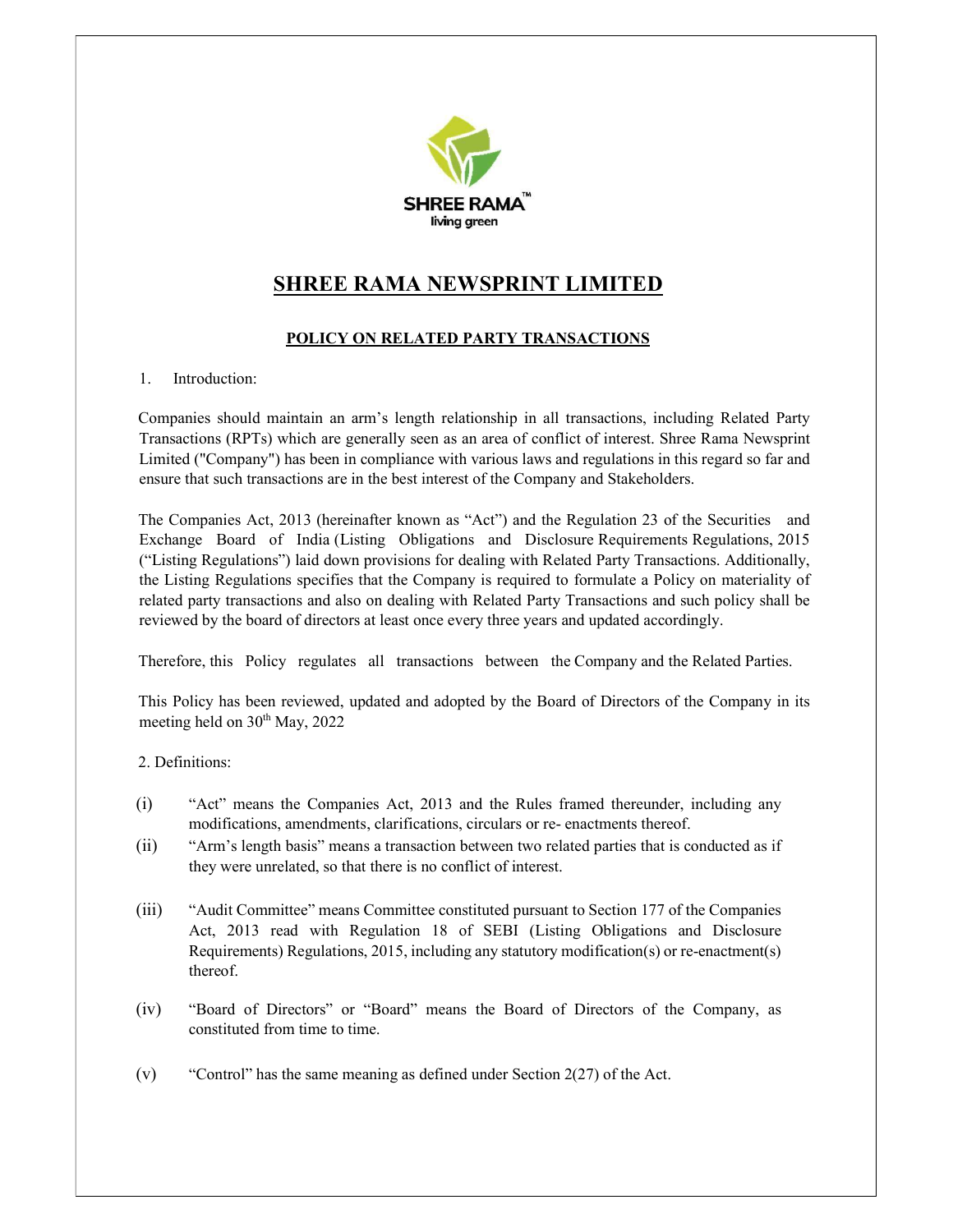

# SHREE RAMA NEWSPRINT LIMITED

## POLICY ON RELATED PARTY TRANSACTIONS

1. Introduction:

Companies should maintain an arm's length relationship in all transactions, including Related Party Transactions (RPTs) which are generally seen as an area of conflict of interest. Shree Rama Newsprint Limited ("Company") has been in compliance with various laws and regulations in this regard so far and ensure that such transactions are in the best interest of the Company and Stakeholders.

The Companies Act, 2013 (hereinafter known as "Act") and the Regulation 23 of the Securities and Exchange Board of India (Listing Obligations and Disclosure Requirements Regulations, 2015 ("Listing Regulations") laid down provisions for dealing with Related Party Transactions. Additionally, the Listing Regulations specifies that the Company is required to formulate a Policy on materiality of related party transactions and also on dealing with Related Party Transactions and such policy shall be reviewed by the board of directors at least once every three years and updated accordingly.

Therefore, this Policy regulates all transactions between the Company and the Related Parties.

This Policy has been reviewed, updated and adopted by the Board of Directors of the Company in its meeting held on  $30<sup>th</sup>$  May, 2022

2. Definitions:

- (i) "Act" means the Companies Act, 2013 and the Rules framed thereunder, including any modifications, amendments, clarifications, circulars or re- enactments thereof.
- (ii) "Arm's length basis" means a transaction between two related parties that is conducted as if they were unrelated, so that there is no conflict of interest.
- (iii) "Audit Committee" means Committee constituted pursuant to Section 177 of the Companies Act, 2013 read with Regulation 18 of SEBI (Listing Obligations and Disclosure Requirements) Regulations, 2015, including any statutory modification(s) or re-enactment(s) thereof.
- (iv) "Board of Directors" or "Board" means the Board of Directors of the Company, as constituted from time to time.
- (v) "Control" has the same meaning as defined under Section 2(27) of the Act.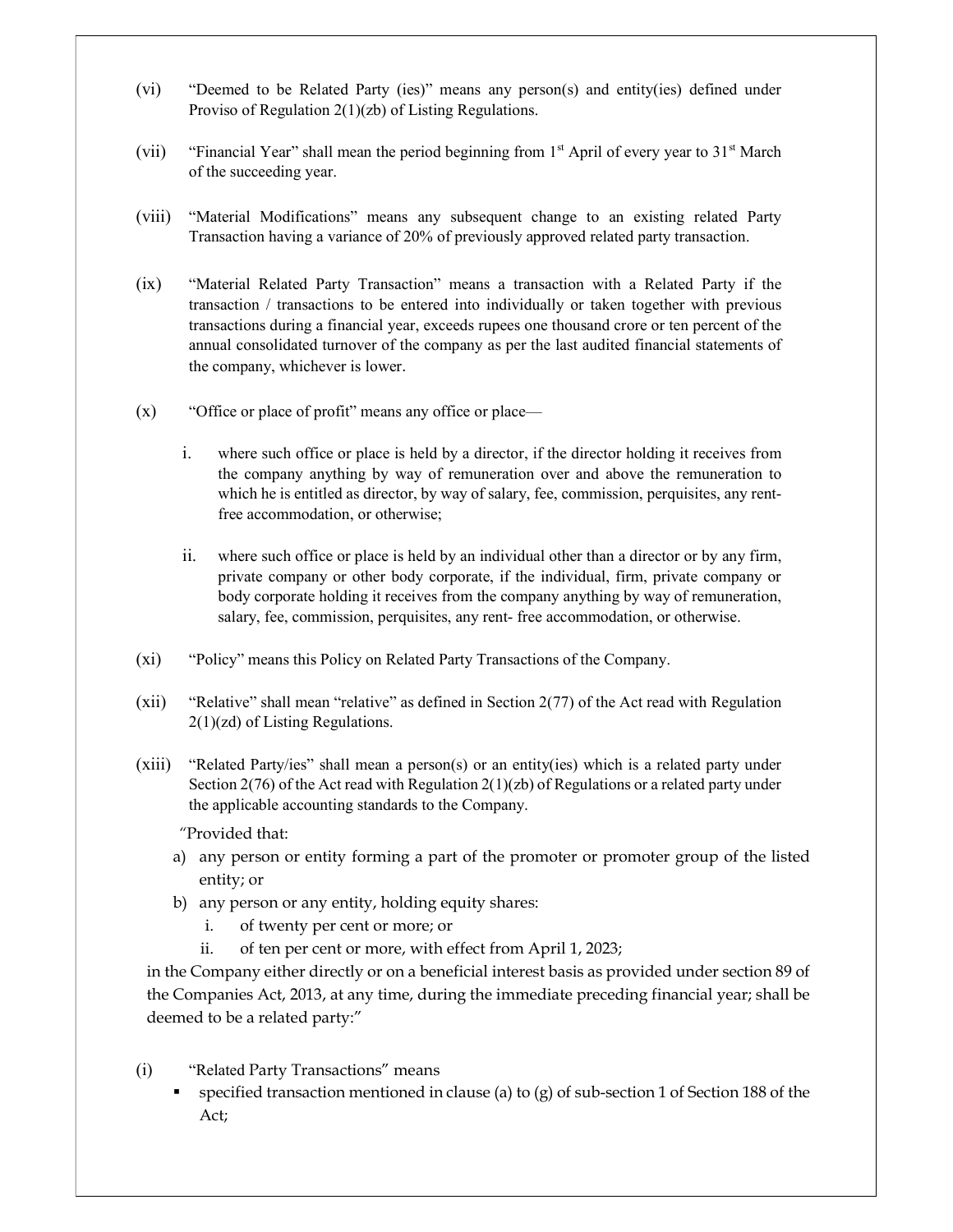- (vi) "Deemed to be Related Party (ies)" means any person(s) and entity(ies) defined under Proviso of Regulation 2(1)(zb) of Listing Regulations.
- (vii) "Financial Year" shall mean the period beginning from  $1<sup>st</sup>$  April of every year to  $31<sup>st</sup>$  March of the succeeding year.
- (viii) "Material Modifications" means any subsequent change to an existing related Party Transaction having a variance of 20% of previously approved related party transaction.
- (ix) "Material Related Party Transaction" means a transaction with a Related Party if the transaction / transactions to be entered into individually or taken together with previous transactions during a financial year, exceeds rupees one thousand crore or ten percent of the annual consolidated turnover of the company as per the last audited financial statements of the company, whichever is lower.
- (x) "Office or place of profit" means any office or place
	- i. where such office or place is held by a director, if the director holding it receives from the company anything by way of remuneration over and above the remuneration to which he is entitled as director, by way of salary, fee, commission, perquisites, any rentfree accommodation, or otherwise;
	- ii. where such office or place is held by an individual other than a director or by any firm, private company or other body corporate, if the individual, firm, private company or body corporate holding it receives from the company anything by way of remuneration, salary, fee, commission, perquisites, any rent- free accommodation, or otherwise.
- (xi) "Policy" means this Policy on Related Party Transactions of the Company.
- (xii) "Relative" shall mean "relative" as defined in Section 2(77) of the Act read with Regulation 2(1)(zd) of Listing Regulations.
- (xiii) "Related Party/ies" shall mean a person(s) or an entity(ies) which is a related party under Section 2(76) of the Act read with Regulation 2(1)(zb) of Regulations or a related party under the applicable accounting standards to the Company.

"Provided that:

- a) any person or entity forming a part of the promoter or promoter group of the listed entity; or
- b) any person or any entity, holding equity shares:
	- i. of twenty per cent or more; or
	- ii. of ten per cent or more, with effect from April 1, 2023;

in the Company either directly or on a beneficial interest basis as provided under section 89 of the Companies Act, 2013, at any time, during the immediate preceding financial year; shall be deemed to be a related party:"

- (i) "Related Party Transactions" means
	- specified transaction mentioned in clause (a) to (g) of sub-section 1 of Section 188 of the Act;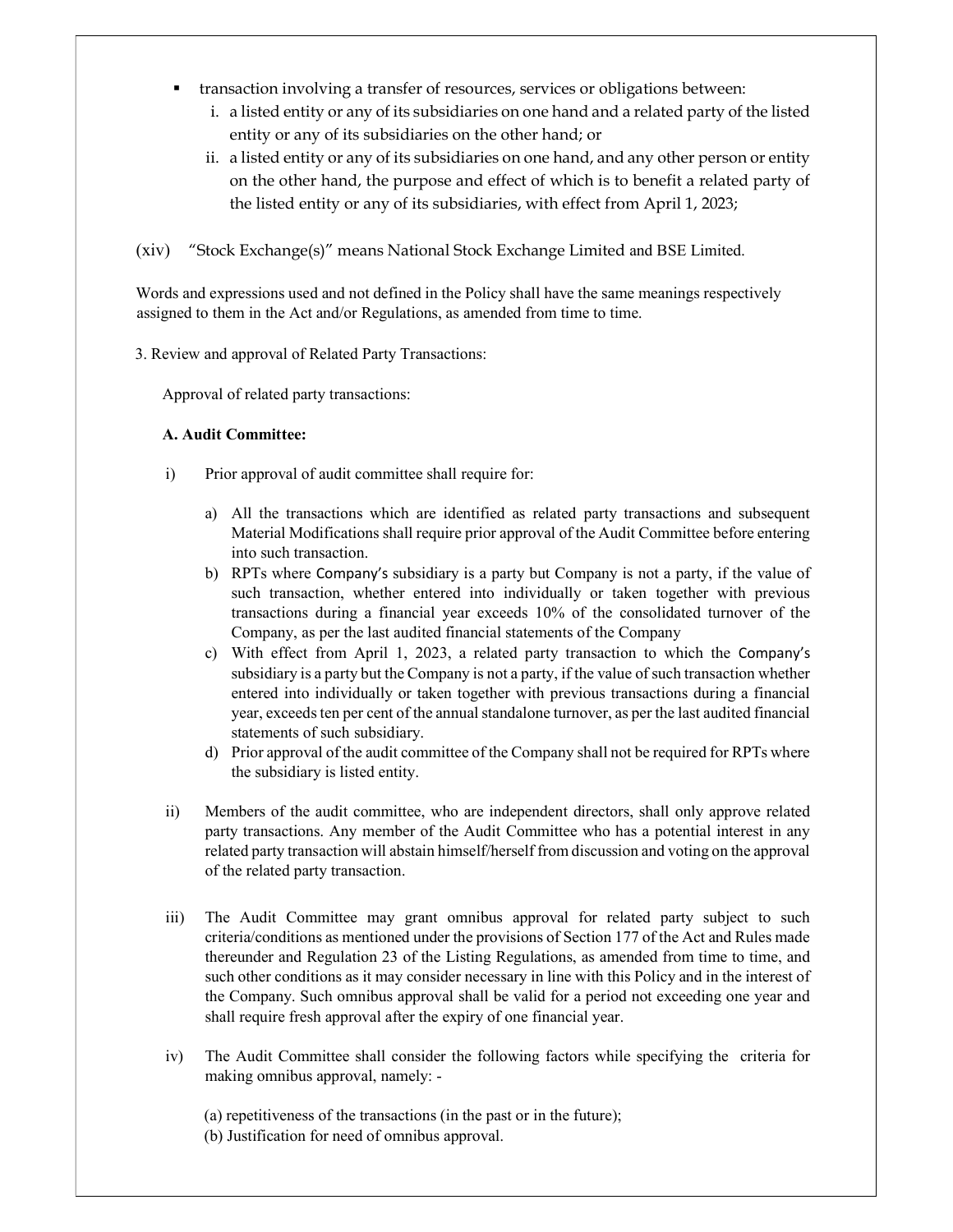- transaction involving a transfer of resources, services or obligations between:
	- i. a listed entity or any of its subsidiaries on one hand and a related party of the listed entity or any of its subsidiaries on the other hand; or
	- ii. a listed entity or any of its subsidiaries on one hand, and any other person or entity on the other hand, the purpose and effect of which is to benefit a related party of the listed entity or any of its subsidiaries, with effect from April 1, 2023;

(xiv) "Stock Exchange(s)" means National Stock Exchange Limited and BSE Limited.

Words and expressions used and not defined in the Policy shall have the same meanings respectively assigned to them in the Act and/or Regulations, as amended from time to time.

3. Review and approval of Related Party Transactions:

Approval of related party transactions:

## A. Audit Committee:

- i) Prior approval of audit committee shall require for:
	- a) All the transactions which are identified as related party transactions and subsequent Material Modifications shall require prior approval of the Audit Committee before entering into such transaction.
	- b) RPTs where Company's subsidiary is a party but Company is not a party, if the value of such transaction, whether entered into individually or taken together with previous transactions during a financial year exceeds 10% of the consolidated turnover of the Company, as per the last audited financial statements of the Company
	- c) With effect from April 1, 2023, a related party transaction to which the Company's subsidiary is a party but the Company is not a party, if the value of such transaction whether entered into individually or taken together with previous transactions during a financial year, exceeds ten per cent of the annual standalone turnover, as per the last audited financial statements of such subsidiary.
	- d) Prior approval of the audit committee of the Company shall not be required for RPTs where the subsidiary is listed entity.
- ii) Members of the audit committee, who are independent directors, shall only approve related party transactions. Any member of the Audit Committee who has a potential interest in any related party transaction will abstain himself/herself from discussion and voting on the approval of the related party transaction.
- iii) The Audit Committee may grant omnibus approval for related party subject to such criteria/conditions as mentioned under the provisions of Section 177 of the Act and Rules made thereunder and Regulation 23 of the Listing Regulations, as amended from time to time, and such other conditions as it may consider necessary in line with this Policy and in the interest of the Company. Such omnibus approval shall be valid for a period not exceeding one year and shall require fresh approval after the expiry of one financial year.
- iv) The Audit Committee shall consider the following factors while specifying the criteria for making omnibus approval, namely: -

(a) repetitiveness of the transactions (in the past or in the future); (b) Justification for need of omnibus approval.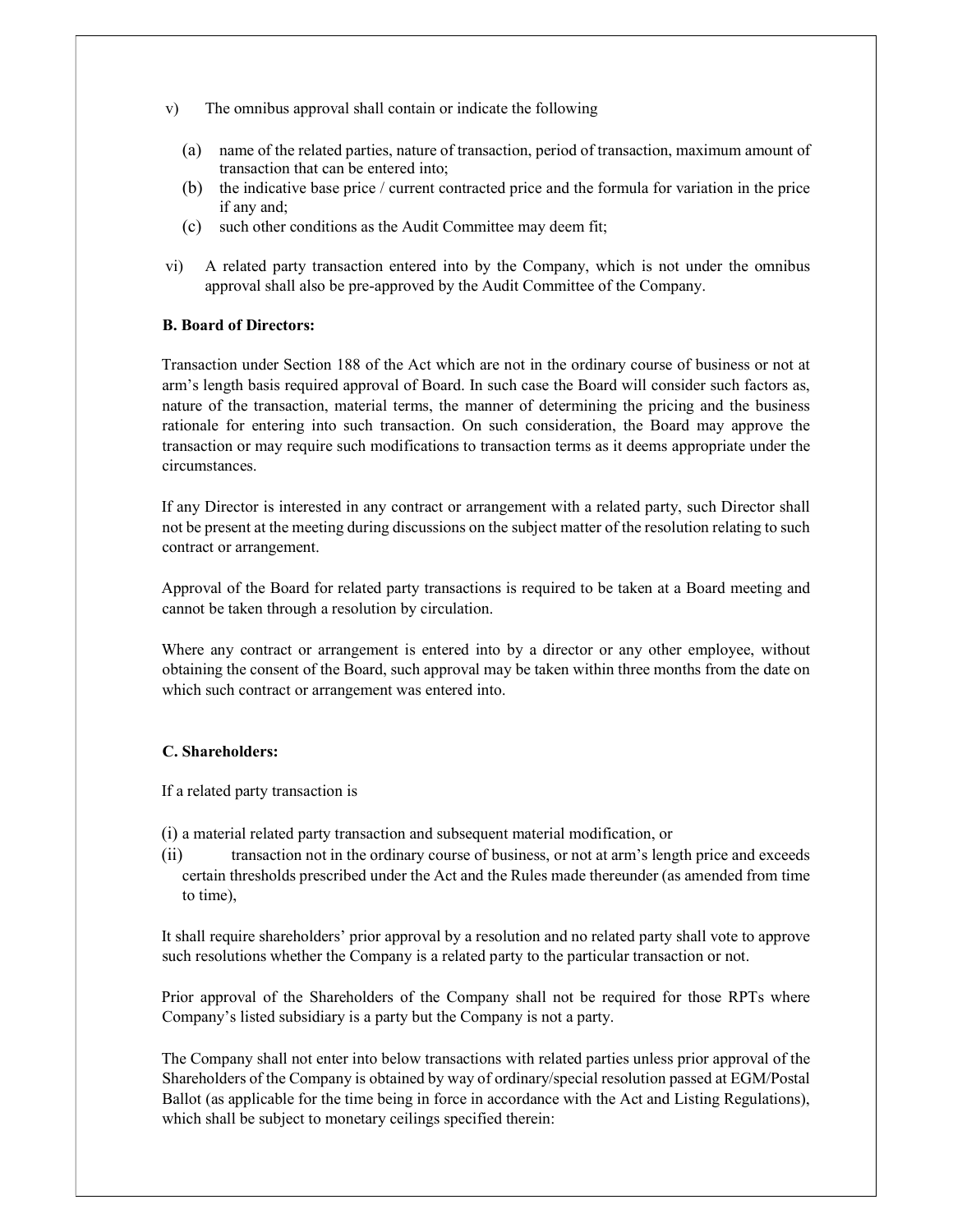- v) The omnibus approval shall contain or indicate the following
	- (a) name of the related parties, nature of transaction, period of transaction, maximum amount of transaction that can be entered into;
	- (b) the indicative base price / current contracted price and the formula for variation in the price if any and;
	- (c) such other conditions as the Audit Committee may deem fit;
- vi) A related party transaction entered into by the Company, which is not under the omnibus approval shall also be pre-approved by the Audit Committee of the Company.

### B. Board of Directors:

Transaction under Section 188 of the Act which are not in the ordinary course of business or not at arm's length basis required approval of Board. In such case the Board will consider such factors as, nature of the transaction, material terms, the manner of determining the pricing and the business rationale for entering into such transaction. On such consideration, the Board may approve the transaction or may require such modifications to transaction terms as it deems appropriate under the circumstances.

If any Director is interested in any contract or arrangement with a related party, such Director shall not be present at the meeting during discussions on the subject matter of the resolution relating to such contract or arrangement.

Approval of the Board for related party transactions is required to be taken at a Board meeting and cannot be taken through a resolution by circulation.

Where any contract or arrangement is entered into by a director or any other employee, without obtaining the consent of the Board, such approval may be taken within three months from the date on which such contract or arrangement was entered into.

#### C. Shareholders:

If a related party transaction is

- (i) a material related party transaction and subsequent material modification, or
- (ii) transaction not in the ordinary course of business, or not at arm's length price and exceeds certain thresholds prescribed under the Act and the Rules made thereunder (as amended from time to time),

It shall require shareholders' prior approval by a resolution and no related party shall vote to approve such resolutions whether the Company is a related party to the particular transaction or not.

Prior approval of the Shareholders of the Company shall not be required for those RPTs where Company's listed subsidiary is a party but the Company is not a party.

The Company shall not enter into below transactions with related parties unless prior approval of the Shareholders of the Company is obtained by way of ordinary/special resolution passed at EGM/Postal Ballot (as applicable for the time being in force in accordance with the Act and Listing Regulations), which shall be subject to monetary ceilings specified therein: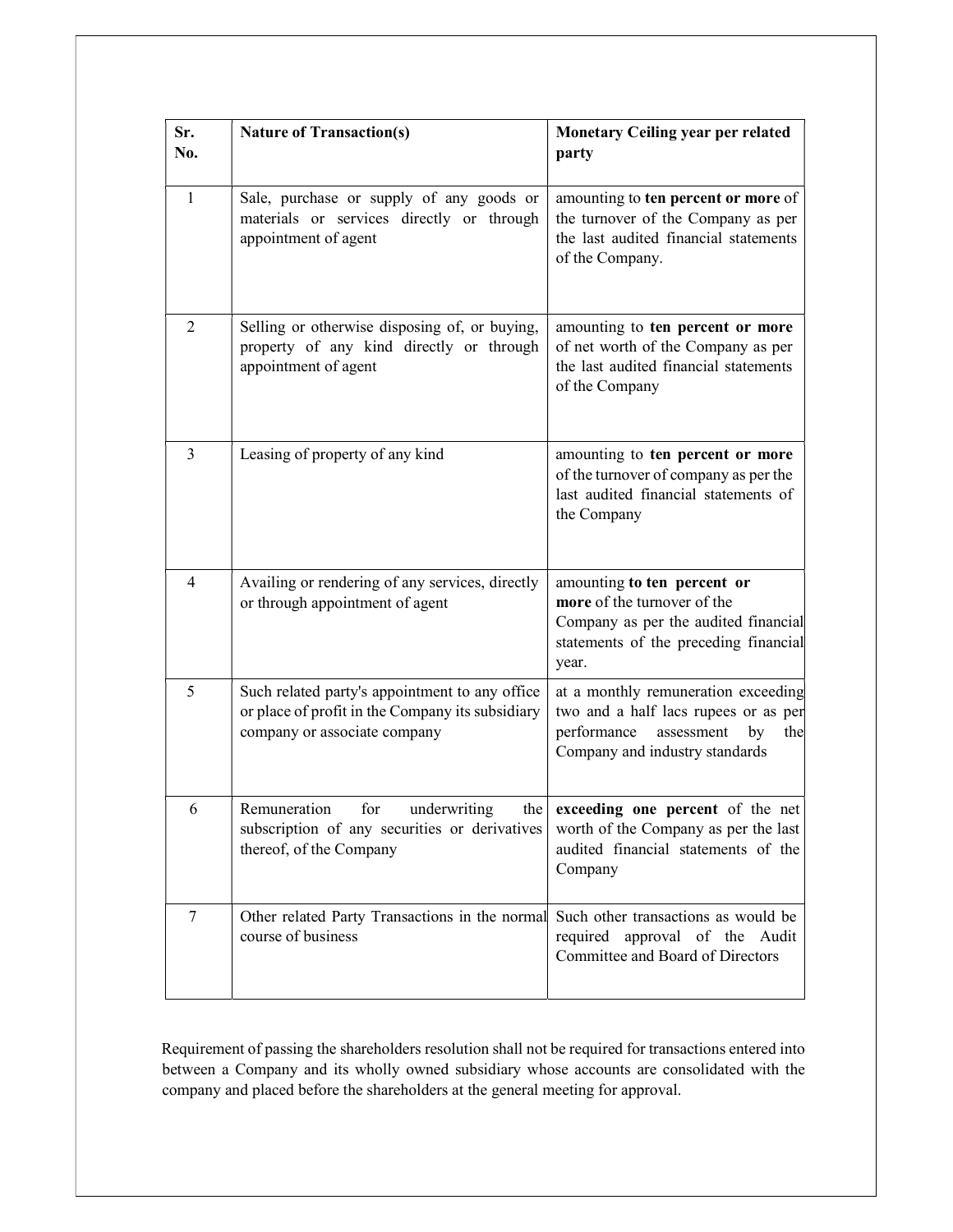| Sr.<br>No.      | <b>Nature of Transaction(s)</b>                                                                                                    | Monetary Ceiling year per related<br>party                                                                                                           |
|-----------------|------------------------------------------------------------------------------------------------------------------------------------|------------------------------------------------------------------------------------------------------------------------------------------------------|
| $\mathbf{1}$    | Sale, purchase or supply of any goods or<br>materials or services directly or through<br>appointment of agent                      | amounting to ten percent or more of<br>the turnover of the Company as per<br>the last audited financial statements<br>of the Company.                |
| $\overline{2}$  | Selling or otherwise disposing of, or buying,<br>property of any kind directly or through<br>appointment of agent                  | amounting to ten percent or more<br>of net worth of the Company as per<br>the last audited financial statements<br>of the Company                    |
| $\overline{3}$  | Leasing of property of any kind                                                                                                    | amounting to ten percent or more<br>of the turnover of company as per the<br>last audited financial statements of<br>the Company                     |
| $\overline{4}$  | Availing or rendering of any services, directly<br>or through appointment of agent                                                 | amounting to ten percent or<br>more of the turnover of the<br>Company as per the audited financial<br>statements of the preceding financial<br>year. |
| 5               | Such related party's appointment to any office<br>or place of profit in the Company its subsidiary<br>company or associate company | at a monthly remuneration exceeding<br>two and a half lacs rupees or as per<br>performance assessment<br>by<br>the<br>Company and industry standards |
| 6               | Remuneration<br>underwriting<br>for<br>the<br>subscription of any securities or derivatives<br>thereof, of the Company             | exceeding one percent of the net<br>worth of the Company as per the last<br>audited financial statements of the<br>Company                           |
| $7\phantom{.0}$ | Other related Party Transactions in the normal<br>course of business                                                               | Such other transactions as would be<br>required approval of the Audit<br>Committee and Board of Directors                                            |

Requirement of passing the shareholders resolution shall not be required for transactions entered into between a Company and its wholly owned subsidiary whose accounts are consolidated with the company and placed before the shareholders at the general meeting for approval.